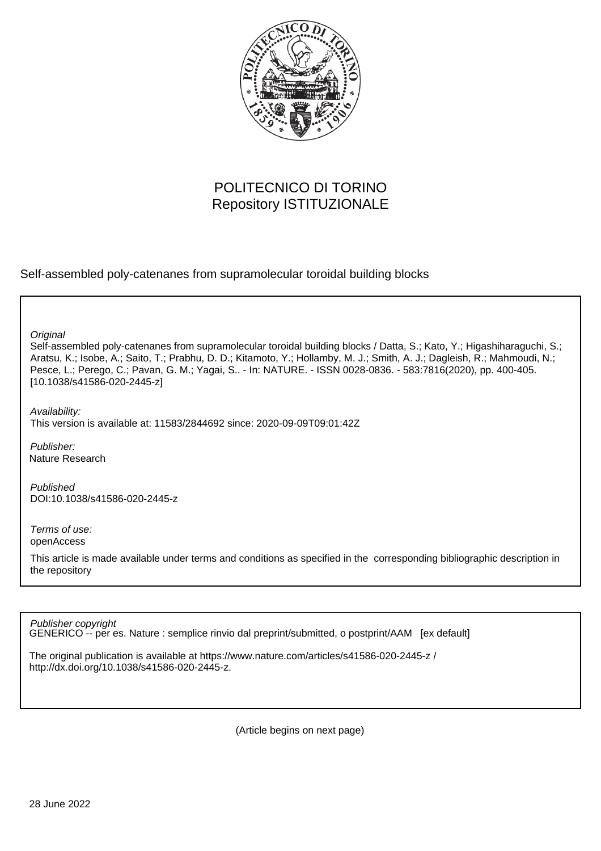

# POLITECNICO DI TORINO Repository ISTITUZIONALE

Self-assembled poly-catenanes from supramolecular toroidal building blocks

**Original** 

Self-assembled poly-catenanes from supramolecular toroidal building blocks / Datta, S.; Kato, Y.; Higashiharaguchi, S.; Aratsu, K.; Isobe, A.; Saito, T.; Prabhu, D. D.; Kitamoto, Y.; Hollamby, M. J.; Smith, A. J.; Dagleish, R.; Mahmoudi, N.; Pesce, L.; Perego, C.; Pavan, G. M.; Yagai, S.. - In: NATURE. - ISSN 0028-0836. - 583:7816(2020), pp. 400-405. [10.1038/s41586-020-2445-z]

Availability: This version is available at: 11583/2844692 since: 2020-09-09T09:01:42Z

Publisher: Nature Research

Published DOI:10.1038/s41586-020-2445-z

Terms of use: openAccess

This article is made available under terms and conditions as specified in the corresponding bibliographic description in the repository

Publisher copyright

GENERICO -- per es. Nature : semplice rinvio dal preprint/submitted, o postprint/AAM [ex default]

The original publication is available at https://www.nature.com/articles/s41586-020-2445-z / http://dx.doi.org/10.1038/s41586-020-2445-z.

(Article begins on next page)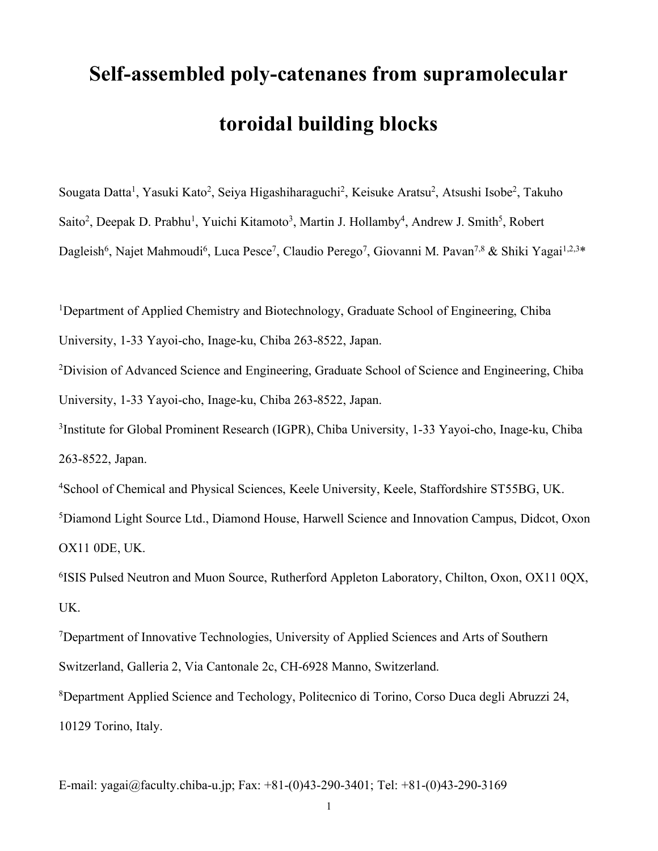# **Self-assembled poly-catenanes from supramolecular toroidal building blocks**

Sougata Datta<sup>1</sup>, Yasuki Kato<sup>2</sup>, Seiya Higashiharaguchi<sup>2</sup>, Keisuke Aratsu<sup>2</sup>, Atsushi Isobe<sup>2</sup>, Takuho Saito<sup>2</sup>, Deepak D. Prabhu<sup>1</sup>, Yuichi Kitamoto<sup>3</sup>, Martin J. Hollamby<sup>4</sup>, Andrew J. Smith<sup>5</sup>, Robert Dagleish<sup>6</sup>, Najet Mahmoudi<sup>6</sup>, Luca Pesce<sup>7</sup>, Claudio Perego<sup>7</sup>, Giovanni M. Pavan<sup>7,8</sup> & Shiki Yagai<sup>1,2,3</sup>\*

<sup>1</sup>Department of Applied Chemistry and Biotechnology, Graduate School of Engineering, Chiba

University, 1-33 Yayoi-cho, Inage-ku, Chiba 263-8522, Japan.

<sup>2</sup>Division of Advanced Science and Engineering, Graduate School of Science and Engineering, Chiba University, 1-33 Yayoi-cho, Inage-ku, Chiba 263-8522, Japan.

3 Institute for Global Prominent Research (IGPR), Chiba University, 1-33 Yayoi-cho, Inage-ku, Chiba 263-8522, Japan.

4School of Chemical and Physical Sciences, Keele University, Keele, Staffordshire ST55BG, UK.

5 Diamond Light Source Ltd., Diamond House, Harwell Science and Innovation Campus, Didcot, Oxon OX11 0DE, UK.

6 ISIS Pulsed Neutron and Muon Source, Rutherford Appleton Laboratory, Chilton, Oxon, OX11 0QX, UK.

<sup>7</sup>Department of Innovative Technologies, University of Applied Sciences and Arts of Southern Switzerland, Galleria 2, Via Cantonale 2c, CH-6928 Manno, Switzerland. 8 Department Applied Science and Techology, Politecnico di Torino, Corso Duca degli Abruzzi 24, 10129 Torino, Italy.

E-mail: yagai@faculty.chiba-u.jp; Fax: +81-(0)43-290-3401; Tel: +81-(0)43-290-3169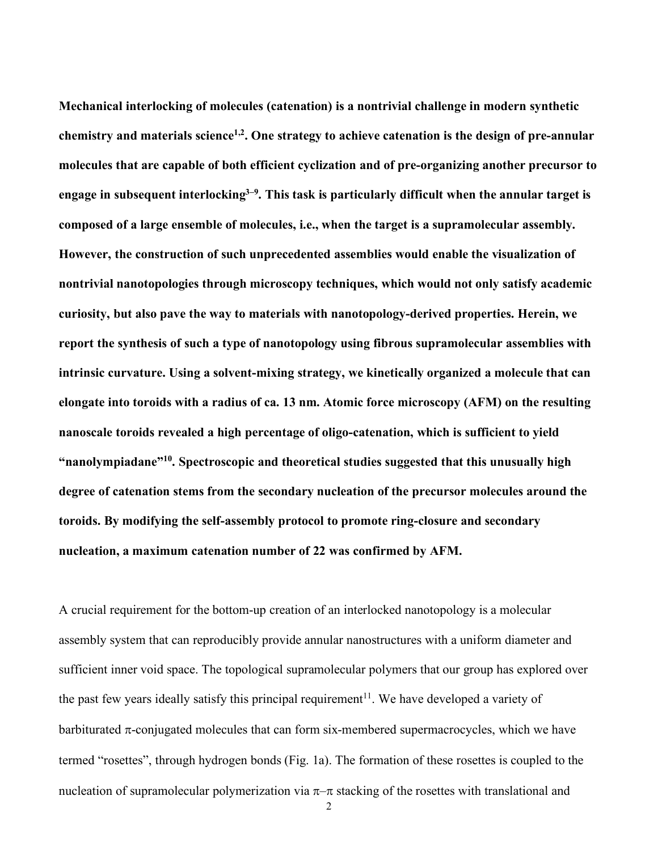**Mechanical interlocking of molecules (catenation) is a nontrivial challenge in modern synthetic chemistry and materials science1,2. One strategy to achieve catenation is the design of pre-annular molecules that are capable of both efficient cyclization and of pre-organizing another precursor to engage in subsequent interlocking3–9 . This task is particularly difficult when the annular target is composed of a large ensemble of molecules, i.e., when the target is a supramolecular assembly. However, the construction of such unprecedented assemblies would enable the visualization of nontrivial nanotopologies through microscopy techniques, which would not only satisfy academic curiosity, but also pave the way to materials with nanotopology-derived properties. Herein, we report the synthesis of such a type of nanotopology using fibrous supramolecular assemblies with intrinsic curvature. Using a solvent-mixing strategy, we kinetically organized a molecule that can elongate into toroids with a radius of ca. 13 nm. Atomic force microscopy (AFM) on the resulting nanoscale toroids revealed a high percentage of oligo-catenation, which is sufficient to yield "nanolympiadane"10. Spectroscopic and theoretical studies suggested that this unusually high degree of catenation stems from the secondary nucleation of the precursor molecules around the toroids. By modifying the self-assembly protocol to promote ring-closure and secondary nucleation, a maximum catenation number of 22 was confirmed by AFM.**

A crucial requirement for the bottom-up creation of an interlocked nanotopology is a molecular assembly system that can reproducibly provide annular nanostructures with a uniform diameter and sufficient inner void space. The topological supramolecular polymers that our group has explored over the past few years ideally satisfy this principal requirement<sup>11</sup>. We have developed a variety of barbiturated  $\pi$ -conjugated molecules that can form six-membered supermacrocycles, which we have termed "rosettes", through hydrogen bonds (Fig. 1a). The formation of these rosettes is coupled to the nucleation of supramolecular polymerization via  $\pi-\pi$  stacking of the rosettes with translational and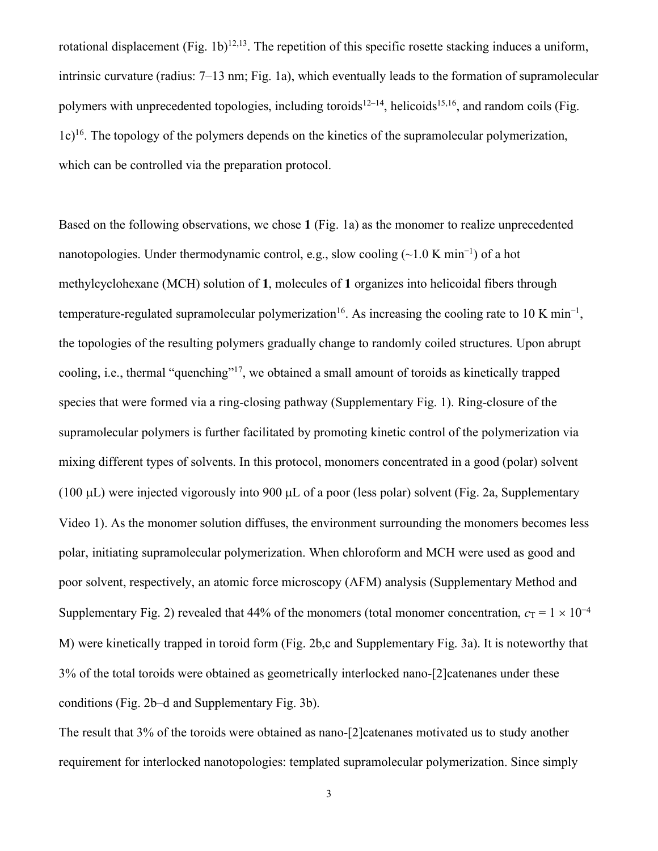rotational displacement (Fig. 1b)<sup>12,13</sup>. The repetition of this specific rosette stacking induces a uniform, intrinsic curvature (radius: 7–13 nm; Fig. 1a), which eventually leads to the formation of supramolecular polymers with unprecedented topologies, including toroids<sup>12–14</sup>, helicoids<sup>15,16</sup>, and random coils (Fig. 1c)16. The topology of the polymers depends on the kinetics of the supramolecular polymerization, which can be controlled via the preparation protocol.

Based on the following observations, we chose **1** (Fig. 1a) as the monomer to realize unprecedented nanotopologies. Under thermodynamic control, e.g., slow cooling (~1.0 K min<sup>-1</sup>) of a hot methylcyclohexane (MCH) solution of **1**, molecules of **1** organizes into helicoidal fibers through temperature-regulated supramolecular polymerization<sup>16</sup>. As increasing the cooling rate to 10 K min<sup>-1</sup>, the topologies of the resulting polymers gradually change to randomly coiled structures. Upon abrupt cooling, i.e., thermal "quenching"17, we obtained a small amount of toroids as kinetically trapped species that were formed via a ring-closing pathway (Supplementary Fig. 1). Ring-closure of the supramolecular polymers is further facilitated by promoting kinetic control of the polymerization via mixing different types of solvents. In this protocol, monomers concentrated in a good (polar) solvent (100 µL) were injected vigorously into 900 µL of a poor (less polar) solvent (Fig. 2a, Supplementary Video 1). As the monomer solution diffuses, the environment surrounding the monomers becomes less polar, initiating supramolecular polymerization. When chloroform and MCH were used as good and poor solvent, respectively, an atomic force microscopy (AFM) analysis (Supplementary Method and Supplementary Fig. 2) revealed that 44% of the monomers (total monomer concentration,  $c_T = 1 \times 10^{-4}$ M) were kinetically trapped in toroid form (Fig. 2b,c and Supplementary Fig. 3a). It is noteworthy that 3% of the total toroids were obtained as geometrically interlocked nano-[2]catenanes under these conditions (Fig. 2b–d and Supplementary Fig. 3b).

The result that 3% of the toroids were obtained as nano-[2]catenanes motivated us to study another requirement for interlocked nanotopologies: templated supramolecular polymerization. Since simply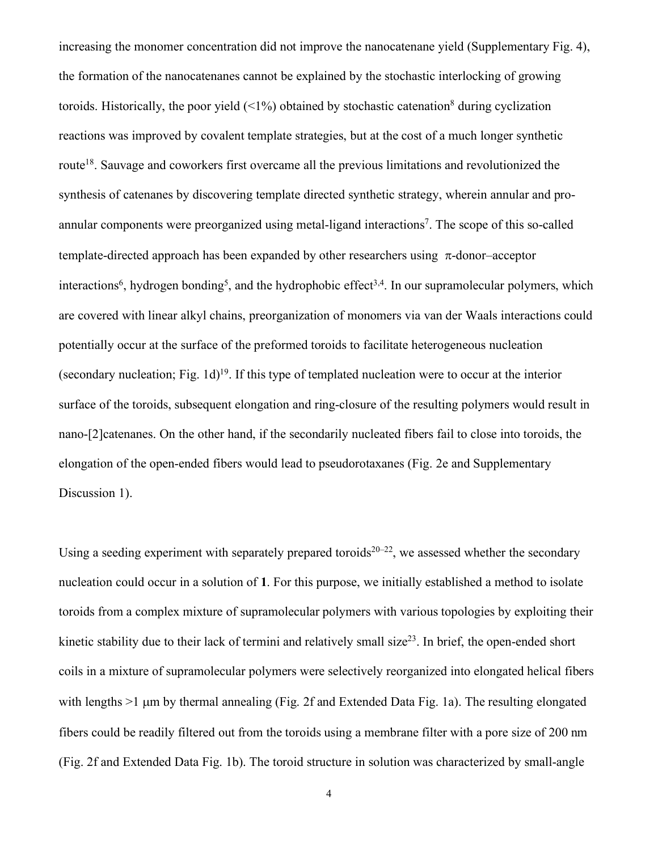increasing the monomer concentration did not improve the nanocatenane yield (Supplementary Fig. 4), the formation of the nanocatenanes cannot be explained by the stochastic interlocking of growing toroids. Historically, the poor yield  $(1\%)$  obtained by stochastic catenation<sup>8</sup> during cyclization reactions was improved by covalent template strategies, but at the cost of a much longer synthetic route18. Sauvage and coworkers first overcame all the previous limitations and revolutionized the synthesis of catenanes by discovering template directed synthetic strategy, wherein annular and proannular components were preorganized using metal-ligand interactions<sup>7</sup>. The scope of this so-called template-directed approach has been expanded by other researchers using  $\pi$ -donor–acceptor interactions<sup>6</sup>, hydrogen bonding<sup>5</sup>, and the hydrophobic effect<sup>3,4</sup>. In our supramolecular polymers, which are covered with linear alkyl chains, preorganization of monomers via van der Waals interactions could potentially occur at the surface of the preformed toroids to facilitate heterogeneous nucleation (secondary nucleation; Fig. 1d) 19. If this type of templated nucleation were to occur at the interior surface of the toroids, subsequent elongation and ring-closure of the resulting polymers would result in nano-[2]catenanes. On the other hand, if the secondarily nucleated fibers fail to close into toroids, the elongation of the open-ended fibers would lead to pseudorotaxanes (Fig. 2e and Supplementary Discussion 1).

Using a seeding experiment with separately prepared toroids<sup>20–22</sup>, we assessed whether the secondary nucleation could occur in a solution of **1**. For this purpose, we initially established a method to isolate toroids from a complex mixture of supramolecular polymers with various topologies by exploiting their kinetic stability due to their lack of termini and relatively small size $^{23}$ . In brief, the open-ended short coils in a mixture of supramolecular polymers were selectively reorganized into elongated helical fibers with lengths >1 µm by thermal annealing (Fig. 2f and Extended Data Fig. 1a). The resulting elongated fibers could be readily filtered out from the toroids using a membrane filter with a pore size of 200 nm (Fig. 2f and Extended Data Fig. 1b). The toroid structure in solution was characterized by small-angle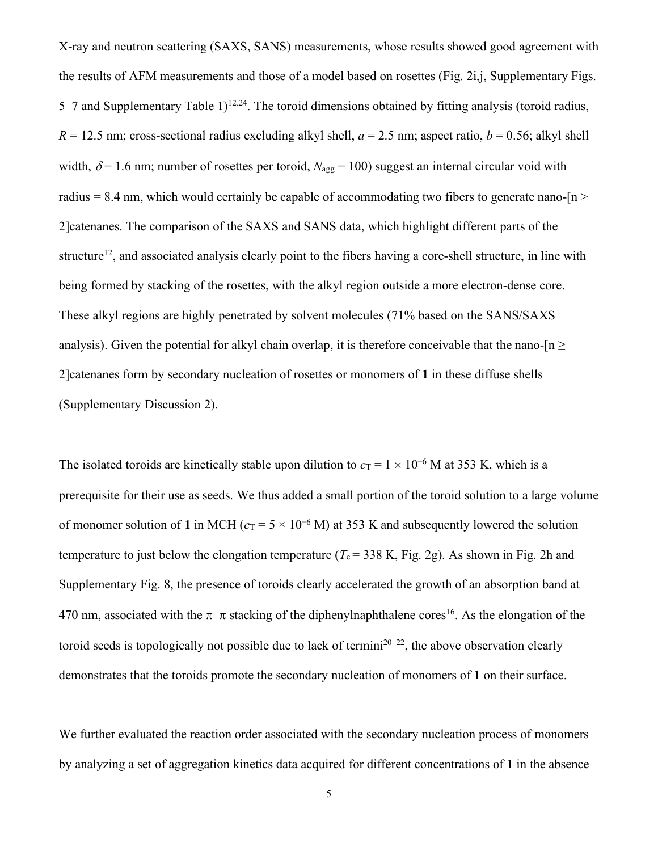X-ray and neutron scattering (SAXS, SANS) measurements, whose results showed good agreement with the results of AFM measurements and those of a model based on rosettes (Fig. 2i,j, Supplementary Figs. 5–7 and Supplementary Table  $1)^{12,24}$ . The toroid dimensions obtained by fitting analysis (toroid radius,  $R = 12.5$  nm; cross-sectional radius excluding alkyl shell,  $a = 2.5$  nm; aspect ratio,  $b = 0.56$ ; alkyl shell width,  $\delta$  = 1.6 nm; number of rosettes per toroid,  $N_{\text{agg}}$  = 100) suggest an internal circular void with radius = 8.4 nm, which would certainly be capable of accommodating two fibers to generate nano- $[n \geq 1]$ 2]catenanes. The comparison of the SAXS and SANS data, which highlight different parts of the structure<sup>12</sup>, and associated analysis clearly point to the fibers having a core-shell structure, in line with being formed by stacking of the rosettes, with the alkyl region outside a more electron-dense core. These alkyl regions are highly penetrated by solvent molecules (71% based on the SANS/SAXS analysis). Given the potential for alkyl chain overlap, it is therefore conceivable that the nano- $[n \geq 1]$ 2]catenanes form by secondary nucleation of rosettes or monomers of **1** in these diffuse shells (Supplementary Discussion 2).

The isolated toroids are kinetically stable upon dilution to  $c_T = 1 \times 10^{-6}$  M at 353 K, which is a prerequisite for their use as seeds. We thus added a small portion of the toroid solution to a large volume of monomer solution of **1** in MCH ( $c_T = 5 \times 10^{-6}$  M) at 353 K and subsequently lowered the solution temperature to just below the elongation temperature ( $T_e$  = 338 K, Fig. 2g). As shown in Fig. 2h and Supplementary Fig. 8, the presence of toroids clearly accelerated the growth of an absorption band at 470 nm, associated with the  $\pi-\pi$  stacking of the diphenylnaphthalene cores<sup>16</sup>. As the elongation of the toroid seeds is topologically not possible due to lack of termini<sup>20–22</sup>, the above observation clearly demonstrates that the toroids promote the secondary nucleation of monomers of **1** on their surface.

We further evaluated the reaction order associated with the secondary nucleation process of monomers by analyzing a set of aggregation kinetics data acquired for different concentrations of **1** in the absence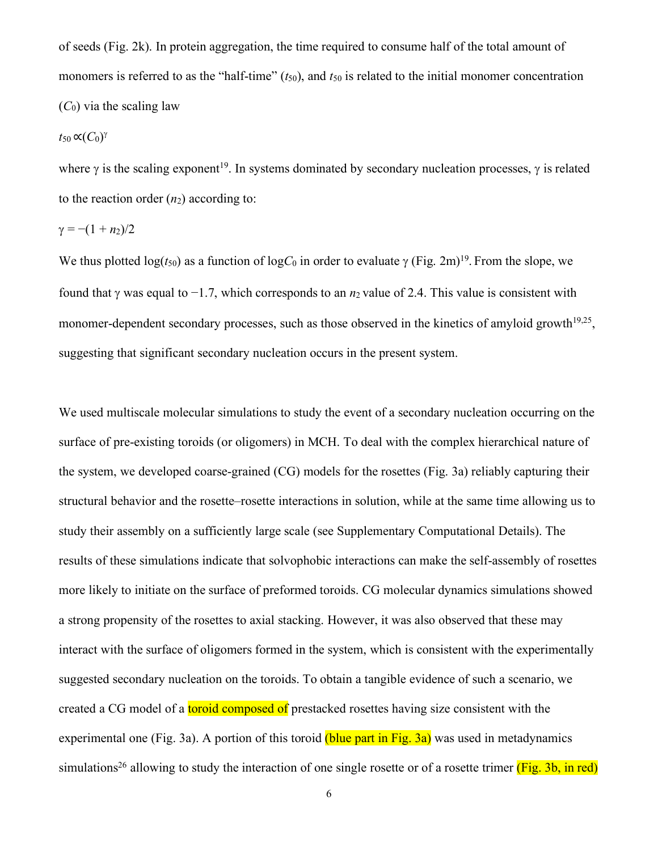of seeds (Fig. 2k). In protein aggregation, the time required to consume half of the total amount of monomers is referred to as the "half-time" ( $t_{50}$ ), and  $t_{50}$  is related to the initial monomer concentration  $(C_0)$  via the scaling law

 $t_{50}$  ∝ $(C_0)^\gamma$ 

where  $\gamma$  is the scaling exponent<sup>19</sup>. In systems dominated by secondary nucleation processes,  $\gamma$  is related to the reaction order  $(n_2)$  according to:

$$
\gamma = -(1 + n_2)/2
$$

We thus plotted  $log(t_{50})$  as a function of  $logC_0$  in order to evaluate  $\gamma$  (Fig. 2m)<sup>19</sup>. From the slope, we found that g was equal to −1.7, which corresponds to an *n*2 value of 2.4. This value is consistent with monomer-dependent secondary processes, such as those observed in the kinetics of amyloid growth<sup>19,25</sup>, suggesting that significant secondary nucleation occurs in the present system.

We used multiscale molecular simulations to study the event of a secondary nucleation occurring on the surface of pre-existing toroids (or oligomers) in MCH. To deal with the complex hierarchical nature of the system, we developed coarse-grained (CG) models for the rosettes (Fig. 3a) reliably capturing their structural behavior and the rosette–rosette interactions in solution, while at the same time allowing us to study their assembly on a sufficiently large scale (see Supplementary Computational Details). The results of these simulations indicate that solvophobic interactions can make the self-assembly of rosettes more likely to initiate on the surface of preformed toroids. CG molecular dynamics simulations showed a strong propensity of the rosettes to axial stacking. However, it was also observed that these may interact with the surface of oligomers formed in the system, which is consistent with the experimentally suggested secondary nucleation on the toroids. To obtain a tangible evidence of such a scenario, we created a CG model of a **toroid composed of** prestacked rosettes having size consistent with the experimental one (Fig. 3a). A portion of this toroid (blue part in Fig. 3a) was used in metadynamics simulations<sup>26</sup> allowing to study the interaction of one single rosette or of a rosette trimer ( $\overline{Fig. 3b}$ , in red)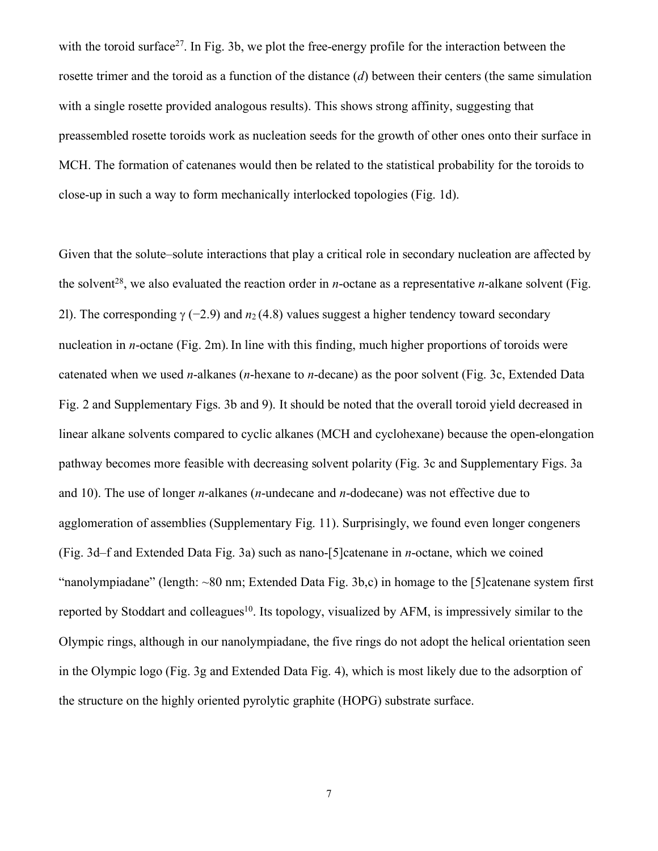with the toroid surface<sup>27</sup>. In Fig. 3b, we plot the free-energy profile for the interaction between the rosette trimer and the toroid as a function of the distance (*d*) between their centers (the same simulation with a single rosette provided analogous results). This shows strong affinity, suggesting that preassembled rosette toroids work as nucleation seeds for the growth of other ones onto their surface in MCH. The formation of catenanes would then be related to the statistical probability for the toroids to close-up in such a way to form mechanically interlocked topologies (Fig. 1d).

Given that the solute–solute interactions that play a critical role in secondary nucleation are affected by the solvent<sup>28</sup>, we also evaluated the reaction order in *n*-octane as a representative *n*-alkane solvent (Fig. 2l). The corresponding  $\gamma$  (−2.9) and  $n_2$  (4.8) values suggest a higher tendency toward secondary nucleation in *n*-octane (Fig. 2m). In line with this finding, much higher proportions of toroids were catenated when we used *n*-alkanes (*n*-hexane to *n*-decane) as the poor solvent (Fig. 3c, Extended Data Fig. 2 and Supplementary Figs. 3b and 9). It should be noted that the overall toroid yield decreased in linear alkane solvents compared to cyclic alkanes (MCH and cyclohexane) because the open-elongation pathway becomes more feasible with decreasing solvent polarity (Fig. 3c and Supplementary Figs. 3a and 10). The use of longer *n*-alkanes (*n*-undecane and *n*-dodecane) was not effective due to agglomeration of assemblies (Supplementary Fig. 11). Surprisingly, we found even longer congeners (Fig. 3d–f and Extended Data Fig. 3a) such as nano-[5]catenane in *n*-octane, which we coined "nanolympiadane" (length: ~80 nm; Extended Data Fig. 3b,c) in homage to the [5]catenane system first reported by Stoddart and colleagues<sup>10</sup>. Its topology, visualized by AFM, is impressively similar to the Olympic rings, although in our nanolympiadane, the five rings do not adopt the helical orientation seen in the Olympic logo (Fig. 3g and Extended Data Fig. 4), which is most likely due to the adsorption of the structure on the highly oriented pyrolytic graphite (HOPG) substrate surface.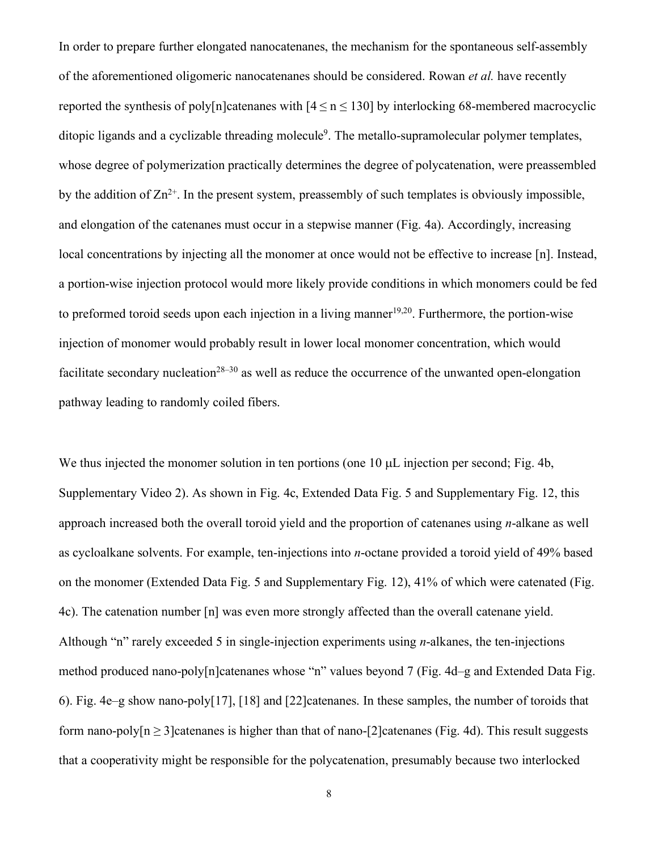In order to prepare further elongated nanocatenanes, the mechanism for the spontaneous self-assembly of the aforementioned oligomeric nanocatenanes should be considered. Rowan *et al.* have recently reported the synthesis of poly[n]catenanes with  $[4 \le n \le 130]$  by interlocking 68-membered macrocyclic ditopic ligands and a cyclizable threading molecule<sup>9</sup>. The metallo-supramolecular polymer templates, whose degree of polymerization practically determines the degree of polycatenation, were preassembled by the addition of  $\text{Zn}^{2+}$ . In the present system, preassembly of such templates is obviously impossible, and elongation of the catenanes must occur in a stepwise manner (Fig. 4a). Accordingly, increasing local concentrations by injecting all the monomer at once would not be effective to increase [n]. Instead, a portion-wise injection protocol would more likely provide conditions in which monomers could be fed to preformed toroid seeds upon each injection in a living manner<sup>19,20</sup>. Furthermore, the portion-wise injection of monomer would probably result in lower local monomer concentration, which would facilitate secondary nucleation<sup>28–30</sup> as well as reduce the occurrence of the unwanted open-elongation pathway leading to randomly coiled fibers.

We thus injected the monomer solution in ten portions (one 10  $\mu$ L injection per second; Fig. 4b, Supplementary Video 2). As shown in Fig. 4c, Extended Data Fig. 5 and Supplementary Fig. 12, this approach increased both the overall toroid yield and the proportion of catenanes using *n*-alkane as well as cycloalkane solvents. For example, ten-injections into *n*-octane provided a toroid yield of 49% based on the monomer (Extended Data Fig. 5 and Supplementary Fig. 12), 41% of which were catenated (Fig. 4c). The catenation number [n] was even more strongly affected than the overall catenane yield. Although "n" rarely exceeded 5 in single-injection experiments using *n*-alkanes, the ten-injections method produced nano-poly[n]catenanes whose "n" values beyond 7 (Fig. 4d–g and Extended Data Fig. 6). Fig. 4e–g show nano-poly[17], [18] and [22]catenanes. In these samples, the number of toroids that form nano-poly[n  $\geq$  3]catenanes is higher than that of nano-[2]catenanes (Fig. 4d). This result suggests that a cooperativity might be responsible for the polycatenation, presumably because two interlocked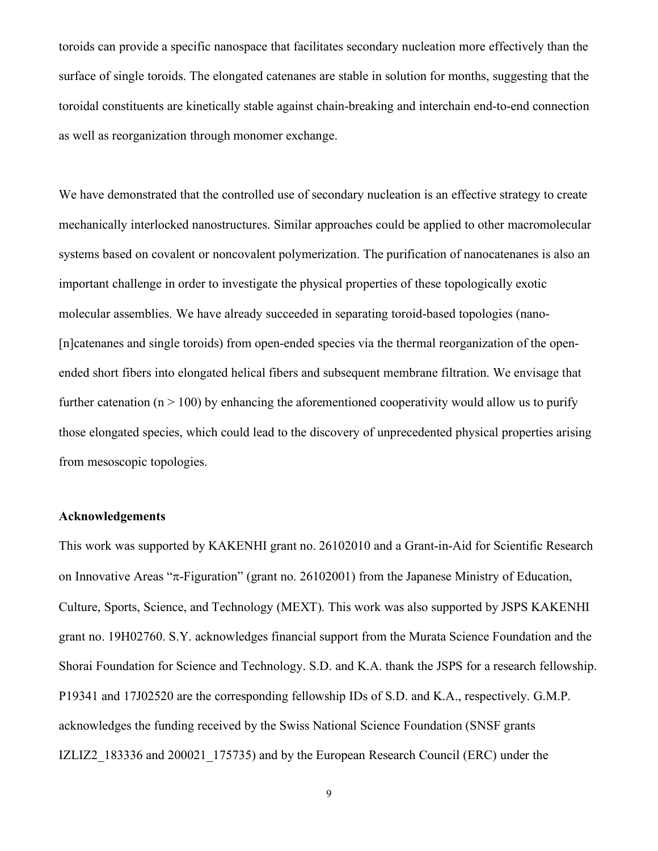toroids can provide a specific nanospace that facilitates secondary nucleation more effectively than the surface of single toroids. The elongated catenanes are stable in solution for months, suggesting that the toroidal constituents are kinetically stable against chain-breaking and interchain end-to-end connection as well as reorganization through monomer exchange.

We have demonstrated that the controlled use of secondary nucleation is an effective strategy to create mechanically interlocked nanostructures. Similar approaches could be applied to other macromolecular systems based on covalent or noncovalent polymerization. The purification of nanocatenanes is also an important challenge in order to investigate the physical properties of these topologically exotic molecular assemblies. We have already succeeded in separating toroid-based topologies (nano- [n]catenanes and single toroids) from open-ended species via the thermal reorganization of the openended short fibers into elongated helical fibers and subsequent membrane filtration. We envisage that further catenation ( $n > 100$ ) by enhancing the aforementioned cooperativity would allow us to purify those elongated species, which could lead to the discovery of unprecedented physical properties arising from mesoscopic topologies.

#### **Acknowledgements**

This work was supported by KAKENHI grant no. 26102010 and a Grant-in-Aid for Scientific Research on Innovative Areas " $\pi$ -Figuration" (grant no. 26102001) from the Japanese Ministry of Education, Culture, Sports, Science, and Technology (MEXT). This work was also supported by JSPS KAKENHI grant no. 19H02760. S.Y. acknowledges financial support from the Murata Science Foundation and the Shorai Foundation for Science and Technology. S.D. and K.A. thank the JSPS for a research fellowship. P19341 and 17J02520 are the corresponding fellowship IDs of S.D. and K.A., respectively. G.M.P. acknowledges the funding received by the Swiss National Science Foundation (SNSF grants IZLIZ2\_183336 and 200021\_175735) and by the European Research Council (ERC) under the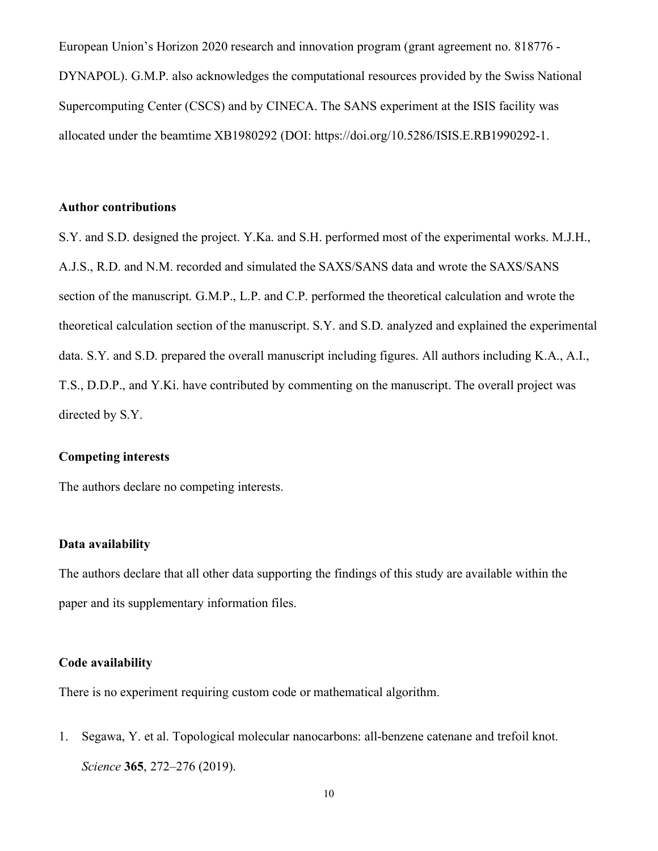European Union's Horizon 2020 research and innovation program (grant agreement no. 818776 - DYNAPOL). G.M.P. also acknowledges the computational resources provided by the Swiss National Supercomputing Center (CSCS) and by CINECA. The SANS experiment at the ISIS facility was allocated under the beamtime XB1980292 (DOI: https://doi.org/10.5286/ISIS.E.RB1990292-1.

### **Author contributions**

S.Y. and S.D. designed the project. Y.Ka. and S.H. performed most of the experimental works. M.J.H., A.J.S., R.D. and N.M. recorded and simulated the SAXS/SANS data and wrote the SAXS/SANS section of the manuscript. G.M.P., L.P. and C.P. performed the theoretical calculation and wrote the theoretical calculation section of the manuscript. S.Y. and S.D. analyzed and explained the experimental data. S.Y. and S.D. prepared the overall manuscript including figures. All authors including K.A., A.I., T.S., D.D.P., and Y.Ki. have contributed by commenting on the manuscript. The overall project was directed by S.Y.

### **Competing interests**

The authors declare no competing interests.

#### **Data availability**

The authors declare that all other data supporting the findings of this study are available within the paper and its supplementary information files.

#### **Code availability**

There is no experiment requiring custom code or mathematical algorithm.

1. Segawa, Y. et al. Topological molecular nanocarbons: all-benzene catenane and trefoil knot. *Science* **365**, 272–276 (2019).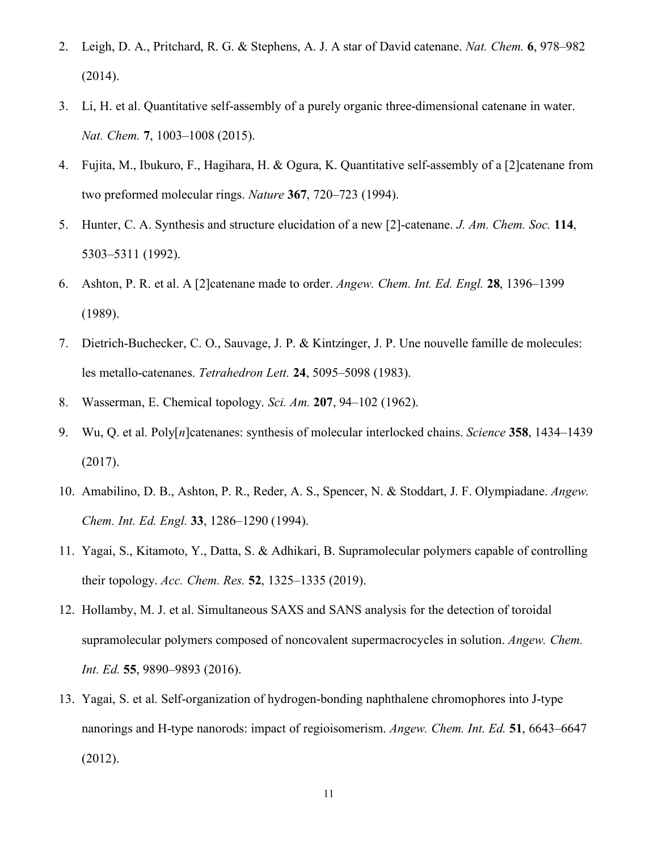- 2. Leigh, D. A., Pritchard, R. G. & Stephens, A. J. A star of David catenane. *Nat. Chem.* **6**, 978–982 (2014).
- 3. Li, H. et al. Quantitative self-assembly of a purely organic three-dimensional catenane in water. *Nat. Chem.* **7**, 1003–1008 (2015).
- 4. Fujita, M., Ibukuro, F., Hagihara, H. & Ogura, K. Quantitative self-assembly of a [2]catenane from two preformed molecular rings. *Nature* **367**, 720–723 (1994).
- 5. Hunter, C. A. Synthesis and structure elucidation of a new [2]-catenane. *J. Am. Chem. Soc.* **114**, 5303–5311 (1992).
- 6. Ashton, P. R. et al. A [2]catenane made to order. *Angew. Chem. Int. Ed. Engl.* **28**, 1396–1399 (1989).
- 7. Dietrich-Buchecker, C. O., Sauvage, J. P. & Kintzinger, J. P. Une nouvelle famille de molecules: les metallo-catenanes. *Tetrahedron Lett.* **24**, 5095–5098 (1983).
- 8. Wasserman, E. Chemical topology. *Sci. Am.* **207**, 94–102 (1962).
- 9. Wu, Q. et al. Poly[*n*]catenanes: synthesis of molecular interlocked chains. *Science* **358**, 1434–1439 (2017).
- 10. Amabilino, D. B., Ashton, P. R., Reder, A. S., Spencer, N. & Stoddart, J. F. Olympiadane. *Angew. Chem. Int. Ed. Engl.* **33**, 1286–1290 (1994).
- 11. Yagai, S., Kitamoto, Y., Datta, S. & Adhikari, B. Supramolecular polymers capable of controlling their topology. *Acc. Chem. Res.* **52**, 1325–1335 (2019).
- 12. Hollamby, M. J. et al. Simultaneous SAXS and SANS analysis for the detection of toroidal supramolecular polymers composed of noncovalent supermacrocycles in solution. *Angew. Chem. Int. Ed.* **55**, 9890–9893 (2016).
- 13. Yagai, S. et al. Self-organization of hydrogen-bonding naphthalene chromophores into J-type nanorings and H-type nanorods: impact of regioisomerism. *Angew. Chem. Int. Ed.* **51**, 6643–6647 (2012).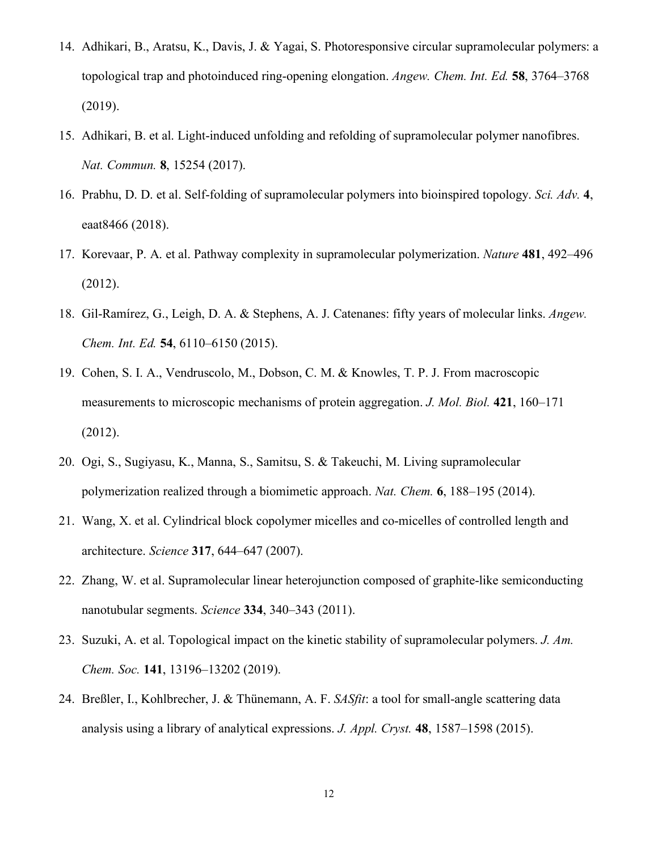- 14. Adhikari, B., Aratsu, K., Davis, J. & Yagai, S. Photoresponsive circular supramolecular polymers: a topological trap and photoinduced ring-opening elongation. *Angew. Chem. Int. Ed.* **58**, 3764–3768 (2019).
- 15. Adhikari, B. et al. Light-induced unfolding and refolding of supramolecular polymer nanofibres. *Nat. Commun.* **8**, 15254 (2017).
- 16. Prabhu, D. D. et al. Self-folding of supramolecular polymers into bioinspired topology. *Sci. Adv.* **4**, eaat8466 (2018).
- 17. Korevaar, P. A. et al. Pathway complexity in supramolecular polymerization. *Nature* **481**, 492–496 (2012).
- 18. Gil-Ramírez, G., Leigh, D. A. & Stephens, A. J. Catenanes: fifty years of molecular links. *Angew. Chem. Int. Ed.* **54**, 6110–6150 (2015).
- 19. Cohen, S. I. A., Vendruscolo, M., Dobson, C. M. & Knowles, T. P. J. From macroscopic measurements to microscopic mechanisms of protein aggregation. *J. Mol. Biol.* **421**, 160–171 (2012).
- 20. Ogi, S., Sugiyasu, K., Manna, S., Samitsu, S. & Takeuchi, M. Living supramolecular polymerization realized through a biomimetic approach. *Nat. Chem.* **6**, 188–195 (2014).
- 21. Wang, X. et al. Cylindrical block copolymer micelles and co-micelles of controlled length and architecture. *Science* **317**, 644–647 (2007).
- 22. Zhang, W. et al. Supramolecular linear heterojunction composed of graphite-like semiconducting nanotubular segments. *Science* **334**, 340–343 (2011).
- 23. Suzuki, A. et al. Topological impact on the kinetic stability of supramolecular polymers. *J. Am. Chem. Soc.* **141**, 13196–13202 (2019).
- 24. Breßler, I., Kohlbrecher, J. & Thünemann, A. F. *SASfit*: a tool for small-angle scattering data analysis using a library of analytical expressions. *J. Appl. Cryst.* **48**, 1587–1598 (2015).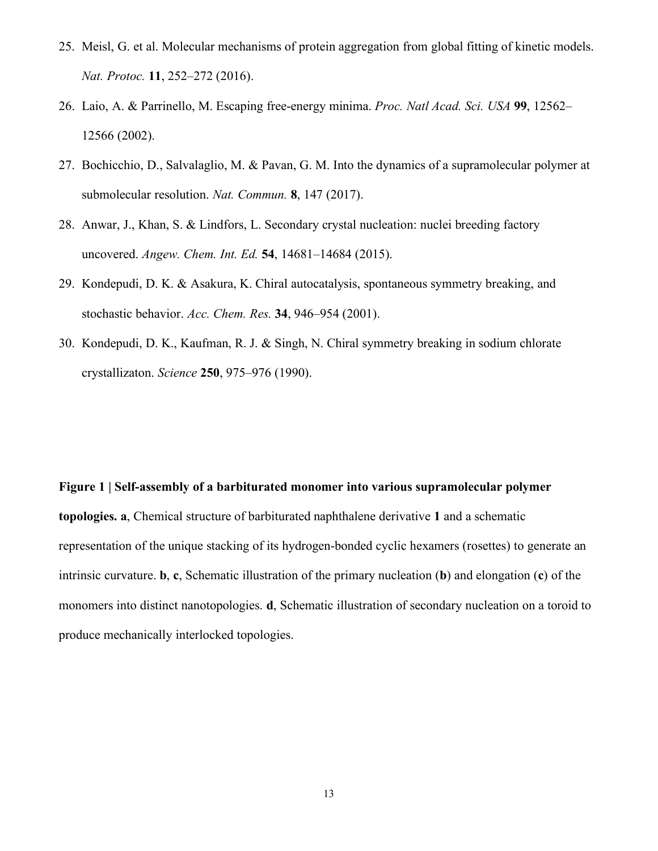- 25. Meisl, G. et al. Molecular mechanisms of protein aggregation from global fitting of kinetic models. *Nat. Protoc.* **11**, 252–272 (2016).
- 26. Laio, A. & Parrinello, M. Escaping free-energy minima. *Proc. Natl Acad. Sci. USA* **99**, 12562– 12566 (2002).
- 27. Bochicchio, D., Salvalaglio, M. & Pavan, G. M. Into the dynamics of a supramolecular polymer at submolecular resolution. *Nat. Commun.* **8**, 147 (2017).
- 28. Anwar, J., Khan, S. & Lindfors, L. Secondary crystal nucleation: nuclei breeding factory uncovered. *Angew. Chem. Int. Ed.* **54**, 14681–14684 (2015).
- 29. Kondepudi, D. K. & Asakura, K. Chiral autocatalysis, spontaneous symmetry breaking, and stochastic behavior. *Acc. Chem. Res.* **34**, 946–954 (2001).
- 30. Kondepudi, D. K., Kaufman, R. J. & Singh, N. Chiral symmetry breaking in sodium chlorate crystallizaton. *Science* **250**, 975–976 (1990).

#### **Figure 1 | Self-assembly of a barbiturated monomer into various supramolecular polymer**

**topologies. a**, Chemical structure of barbiturated naphthalene derivative **1** and a schematic representation of the unique stacking of its hydrogen-bonded cyclic hexamers (rosettes) to generate an intrinsic curvature. **b**, **c**, Schematic illustration of the primary nucleation (**b**) and elongation (**c**) of the monomers into distinct nanotopologies. **d**, Schematic illustration of secondary nucleation on a toroid to produce mechanically interlocked topologies.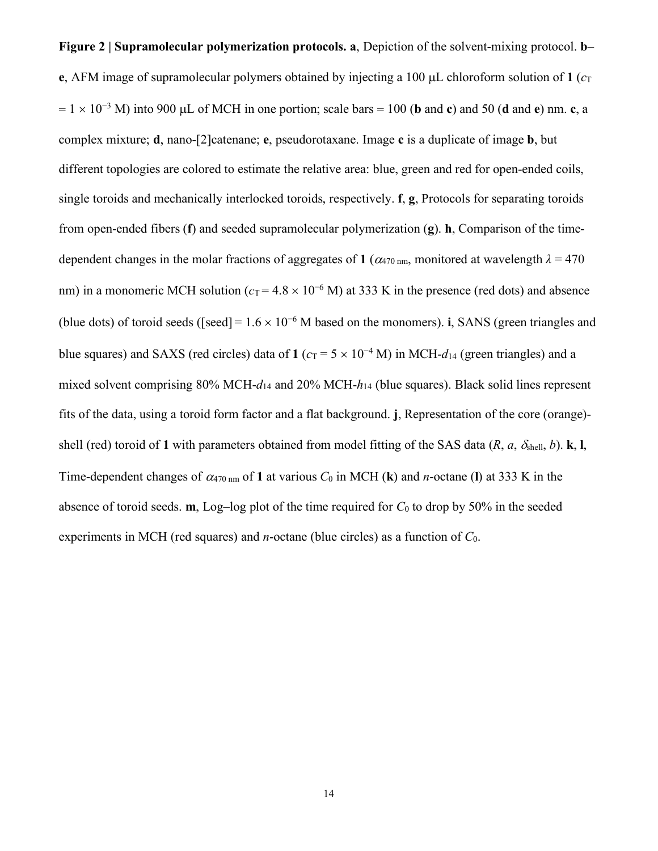**Figure 2 | Supramolecular polymerization protocols. a**, Depiction of the solvent-mixing protocol. **b**– **e**, AFM image of supramolecular polymers obtained by injecting a 100  $\mu$ L chloroform solution of 1 ( $c_T$ )  $= 1 \times 10^{-3}$  M) into 900 µL of MCH in one portion; scale bars = 100 (**b** and **c**) and 50 (**d** and **e**) nm. **c**, a complex mixture; **d**, nano-[2]catenane; **e**, pseudorotaxane. Image **c** is a duplicate of image **b**, but different topologies are colored to estimate the relative area: blue, green and red for open-ended coils, single toroids and mechanically interlocked toroids, respectively. **f**, **g**, Protocols for separating toroids from open-ended fibers (**f**) and seeded supramolecular polymerization (**g**). **h**, Comparison of the timedependent changes in the molar fractions of aggregates of 1 ( $\alpha_{470 \text{ nm}}$ , monitored at wavelength  $\lambda = 470$ nm) in a monomeric MCH solution ( $c_T = 4.8 \times 10^{-6}$  M) at 333 K in the presence (red dots) and absence (blue dots) of toroid seeds ([seed] =  $1.6 \times 10^{-6}$  M based on the monomers). **i**, SANS (green triangles and blue squares) and SAXS (red circles) data of 1 ( $c_T = 5 \times 10^{-4}$  M) in MCH- $d_{14}$  (green triangles) and a mixed solvent comprising 80% MCH-*d*<sup>14</sup> and 20% MCH-*h*<sup>14</sup> (blue squares). Black solid lines represent fits of the data, using a toroid form factor and a flat background. **j**, Representation of the core (orange) shell (red) toroid of 1 with parameters obtained from model fitting of the SAS data  $(R, a, \delta_{shell}, b)$ . **k**, **l**, Time-dependent changes of  $\alpha_{470 \text{ nm}}$  of 1 at various  $C_0$  in MCH (k) and *n*-octane (1) at 333 K in the absence of toroid seeds. **m**, Log–log plot of the time required for  $C_0$  to drop by 50% in the seeded experiments in MCH (red squares) and *n*-octane (blue circles) as a function of *C*0.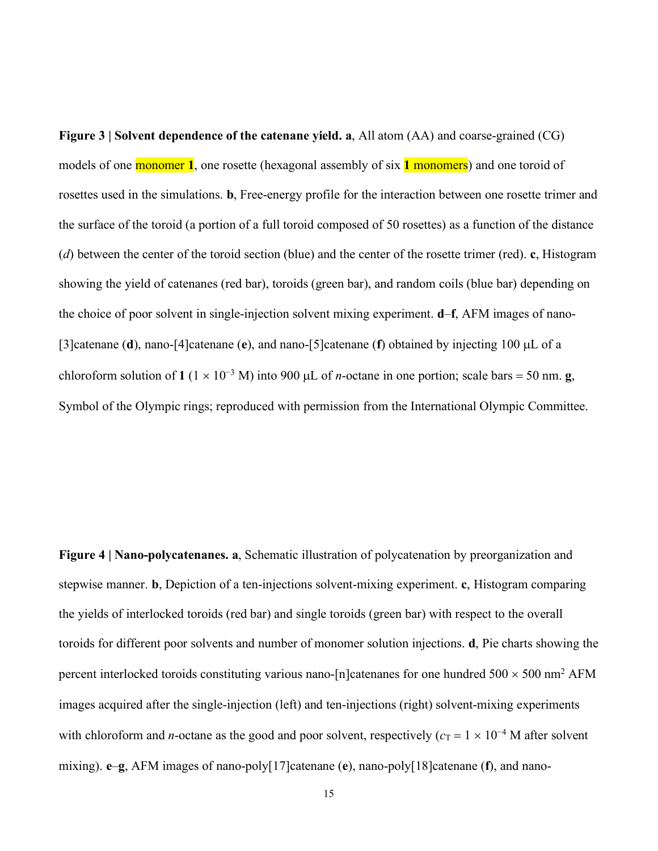**Figure 3 | Solvent dependence of the catenane yield. a**, All atom (AA) and coarse-grained (CG) models of one monomer **1**, one rosette (hexagonal assembly of six **1** monomers) and one toroid of rosettes used in the simulations. **b**, Free-energy profile for the interaction between one rosette trimer and the surface of the toroid (a portion of a full toroid composed of 50 rosettes) as a function of the distance (*d*) between the center of the toroid section (blue) and the center of the rosette trimer (red). **c**, Histogram showing the yield of catenanes (red bar), toroids (green bar), and random coils (blue bar) depending on the choice of poor solvent in single-injection solvent mixing experiment. **d**–**f**, AFM images of nano- [3]catenane (**d**), nano-[4]catenane (**e**), and nano-[5]catenane (**f**) obtained by injecting 100 µL of a chloroform solution of **1** ( $1 \times 10^{-3}$  M) into 900 µL of *n*-octane in one portion; scale bars = 50 nm. **g**, Symbol of the Olympic rings; reproduced with permission from the International Olympic Committee.

**Figure 4 | Nano-polycatenanes. a**, Schematic illustration of polycatenation by preorganization and stepwise manner. **b**, Depiction of a ten-injections solvent-mixing experiment. **c**, Histogram comparing the yields of interlocked toroids (red bar) and single toroids (green bar) with respect to the overall toroids for different poor solvents and number of monomer solution injections. **d**, Pie charts showing the percent interlocked toroids constituting various nano-[n]catenanes for one hundred  $500 \times 500$  nm<sup>2</sup> AFM images acquired after the single-injection (left) and ten-injections (right) solvent-mixing experiments with chloroform and *n*-octane as the good and poor solvent, respectively ( $c_T = 1 \times 10^{-4}$  M after solvent mixing). **e**–**g**, AFM images of nano-poly[17]catenane (**e**), nano-poly[18]catenane (**f**), and nano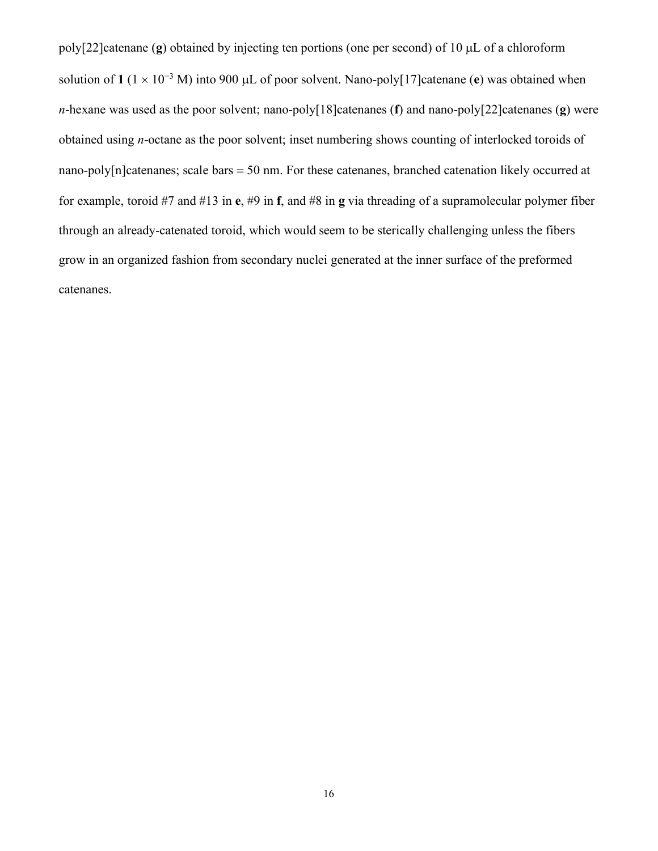poly[22]catenane (**g**) obtained by injecting ten portions (one per second) of 10 µL of a chloroform solution of **1** ( $1 \times 10^{-3}$  M) into 900 µL of poor solvent. Nano-poly[17]catenane (**e**) was obtained when *n*-hexane was used as the poor solvent; nano-poly[18]catenanes (**f**) and nano-poly[22]catenanes (**g**) were obtained using *n*-octane as the poor solvent; inset numbering shows counting of interlocked toroids of nano-poly[n]catenanes; scale bars = 50 nm. For these catenanes, branched catenation likely occurred at for example, toroid #7 and #13 in **e**, #9 in **f**, and #8 in **g** via threading of a supramolecular polymer fiber through an already-catenated toroid, which would seem to be sterically challenging unless the fibers grow in an organized fashion from secondary nuclei generated at the inner surface of the preformed catenanes.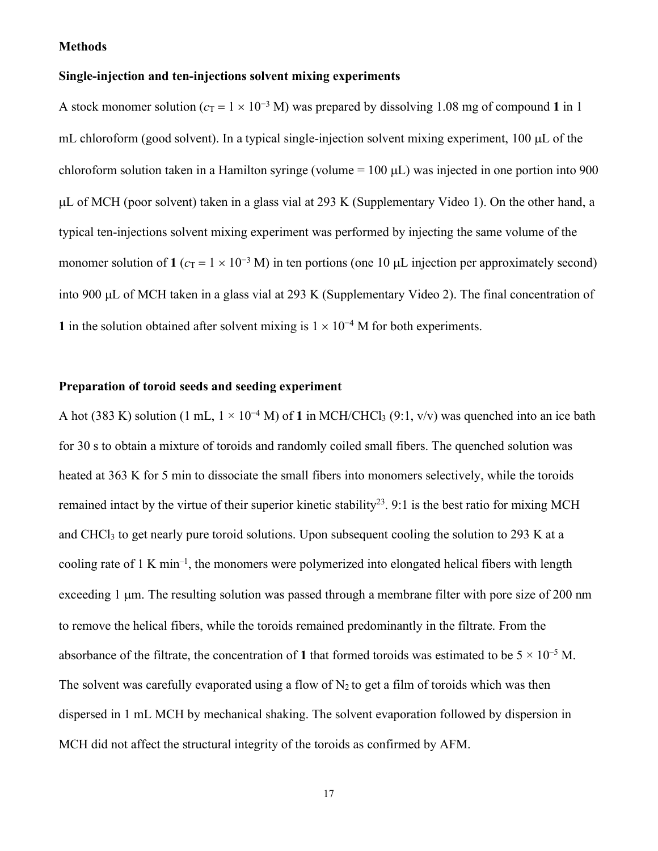#### **Methods**

#### **Single-injection and ten-injections solvent mixing experiments**

A stock monomer solution ( $c_T = 1 \times 10^{-3}$  M) was prepared by dissolving 1.08 mg of compound 1 in 1 mL chloroform (good solvent). In a typical single-injection solvent mixing experiment, 100 µL of the chloroform solution taken in a Hamilton syringe (volume  $= 100 \mu L$ ) was injected in one portion into 900 µL of MCH (poor solvent) taken in a glass vial at 293 K (Supplementary Video 1). On the other hand, a typical ten-injections solvent mixing experiment was performed by injecting the same volume of the monomer solution of **1** ( $c_T = 1 \times 10^{-3}$  M) in ten portions (one 10 µL injection per approximately second) into 900 µL of MCH taken in a glass vial at 293 K (Supplementary Video 2). The final concentration of **1** in the solution obtained after solvent mixing is  $1 \times 10^{-4}$  M for both experiments.

## **Preparation of toroid seeds and seeding experiment**

A hot (383 K) solution (1 mL,  $1 \times 10^{-4}$  M) of 1 in MCH/CHCl<sub>3</sub> (9:1, v/v) was quenched into an ice bath for 30 s to obtain a mixture of toroids and randomly coiled small fibers. The quenched solution was heated at 363 K for 5 min to dissociate the small fibers into monomers selectively, while the toroids remained intact by the virtue of their superior kinetic stability<sup>23</sup>. 9:1 is the best ratio for mixing MCH and CHCl<sub>3</sub> to get nearly pure toroid solutions. Upon subsequent cooling the solution to 293 K at a cooling rate of 1 K min<sup>-1</sup>, the monomers were polymerized into elongated helical fibers with length exceeding 1 um. The resulting solution was passed through a membrane filter with pore size of 200 nm to remove the helical fibers, while the toroids remained predominantly in the filtrate. From the absorbance of the filtrate, the concentration of 1 that formed toroids was estimated to be  $5 \times 10^{-5}$  M. The solvent was carefully evaporated using a flow of  $N_2$  to get a film of toroids which was then dispersed in 1 mL MCH by mechanical shaking. The solvent evaporation followed by dispersion in MCH did not affect the structural integrity of the toroids as confirmed by AFM.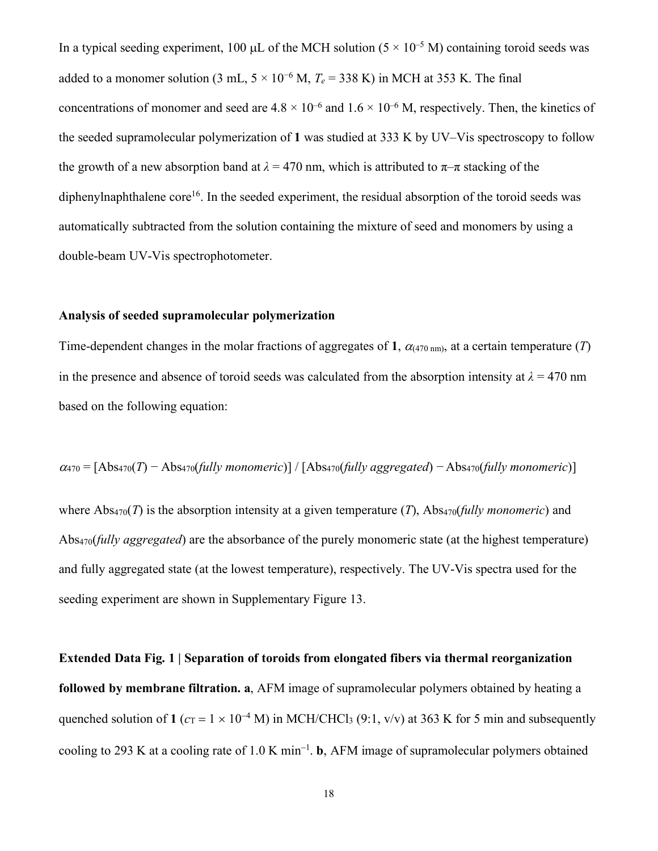In a typical seeding experiment, 100 µL of the MCH solution ( $5 \times 10^{-5}$  M) containing toroid seeds was added to a monomer solution (3 mL,  $5 \times 10^{-6}$  M,  $T_e = 338$  K) in MCH at 353 K. The final concentrations of monomer and seed are  $4.8 \times 10^{-6}$  and  $1.6 \times 10^{-6}$  M, respectively. Then, the kinetics of the seeded supramolecular polymerization of **1** was studied at 333 K by UV–Vis spectroscopy to follow the growth of a new absorption band at  $\lambda = 470$  nm, which is attributed to  $\pi-\pi$  stacking of the diphenylnaphthalene core<sup>16</sup>. In the seeded experiment, the residual absorption of the toroid seeds was automatically subtracted from the solution containing the mixture of seed and monomers by using a double-beam UV-Vis spectrophotometer.

#### **Analysis of seeded supramolecular polymerization**

Time-dependent changes in the molar fractions of aggregates of 1,  $\alpha$ <sub>(470 nm)</sub>, at a certain temperature (*T*) in the presence and absence of toroid seeds was calculated from the absorption intensity at  $\lambda = 470$  nm based on the following equation:

$$
\alpha_{470} = [Abs_{470}(T) - Abs_{470}(fully monometric)] / [Abs_{470}(fully aggregated) - Abs_{470}(fully monometric)]
$$

where  $\text{Abs}_{470}(T)$  is the absorption intensity at a given temperature (*T*),  $\text{Abs}_{470}(fullv \text{ monometric})$  and Abs470(*fully aggregated*) are the absorbance of the purely monomeric state (at the highest temperature) and fully aggregated state (at the lowest temperature), respectively. The UV-Vis spectra used for the seeding experiment are shown in Supplementary Figure 13.

**Extended Data Fig. 1 | Separation of toroids from elongated fibers via thermal reorganization followed by membrane filtration. a**, AFM image of supramolecular polymers obtained by heating a quenched solution of 1 ( $c_T = 1 \times 10^{-4}$  M) in MCH/CHCl<sub>3</sub> (9:1, v/v) at 363 K for 5 min and subsequently cooling to 293 K at a cooling rate of 1.0 K min-<sup>1</sup> . **b**, AFM image of supramolecular polymers obtained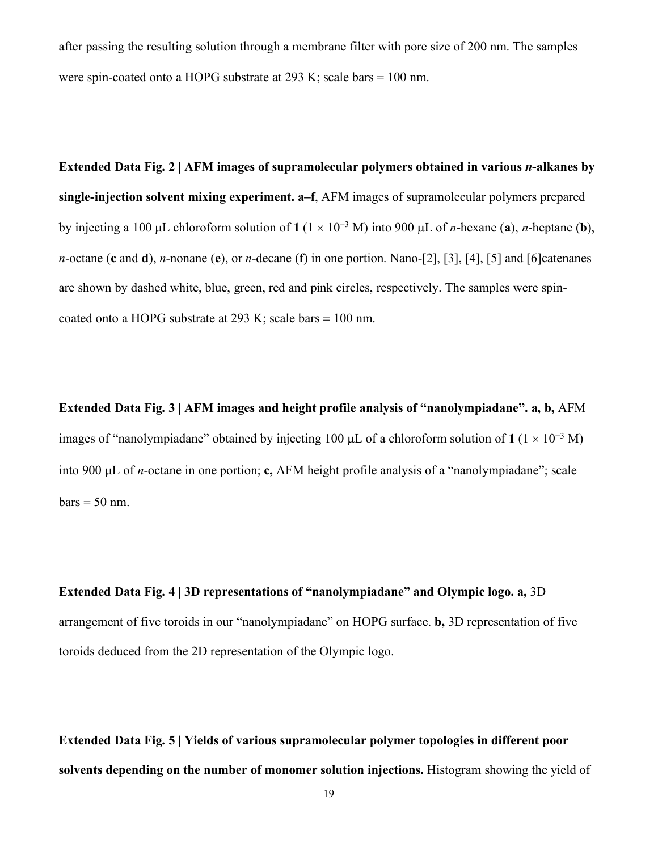after passing the resulting solution through a membrane filter with pore size of 200 nm. The samples were spin-coated onto a HOPG substrate at 293 K; scale bars = 100 nm.

**Extended Data Fig. 2 | AFM images of supramolecular polymers obtained in various** *n***-alkanes by single-injection solvent mixing experiment. a–f**, AFM images of supramolecular polymers prepared by injecting a 100 µL chloroform solution of  $1 (1 \times 10^{-3} M)$  into 900 µL of *n*-hexane (a), *n*-heptane (b), *n*-octane (**c** and **d**), *n*-nonane (**e**), or *n*-decane (**f**) in one portion. Nano-[2], [3], [4], [5] and [6]catenanes are shown by dashed white, blue, green, red and pink circles, respectively. The samples were spincoated onto a HOPG substrate at 293 K; scale bars = 100 nm.

**Extended Data Fig. 3 | AFM images and height profile analysis of "nanolympiadane". a, b,** AFM images of "nanolympiadane" obtained by injecting 100 µL of a chloroform solution of  $1 (1 \times 10^{-3} M)$ into 900 µL of *n*-octane in one portion; **c,** AFM height profile analysis of a "nanolympiadane"; scale  $bars = 50$  nm.

**Extended Data Fig. 4 | 3D representations of "nanolympiadane" and Olympic logo. a,** 3D arrangement of five toroids in our "nanolympiadane" on HOPG surface. **b,** 3D representation of five toroids deduced from the 2D representation of the Olympic logo.

**Extended Data Fig. 5 | Yields of various supramolecular polymer topologies in different poor solvents depending on the number of monomer solution injections.** Histogram showing the yield of